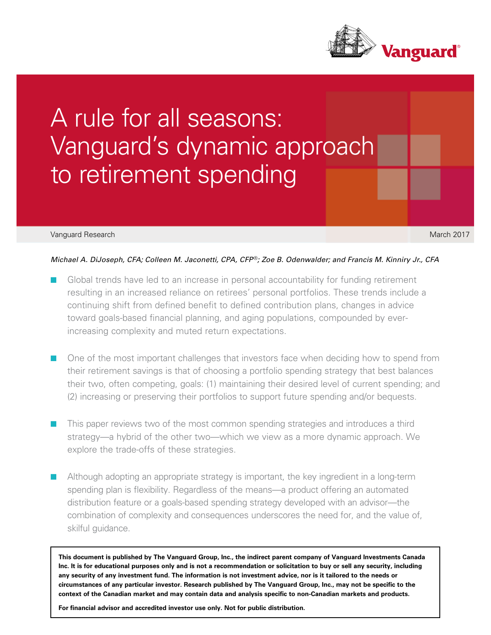

# A rule for all seasons: Vanguard's dynamic approach to retirement spending

#### Vanguard Research March 2017

## *Michael A. DiJoseph, CFA; Colleen M. Jaconetti, CPA, CFP*®*; Zoe B. Odenwalder; and Francis M. Kinniry Jr., CFA*

- Global trends have led to an increase in personal accountability for funding retirement resulting in an increased reliance on retirees' personal portfolios. These trends include a continuing shift from defined benefit to defined contribution plans, changes in advice toward goals-based financial planning, and aging populations, compounded by everincreasing complexity and muted return expectations.
- One of the most important challenges that investors face when deciding how to spend from their retirement savings is that of choosing a portfolio spending strategy that best balances their two, often competing, goals: (1) maintaining their desired level of current spending; and (2) increasing or preserving their portfolios to support future spending and/or bequests.
- This paper reviews two of the most common spending strategies and introduces a third strategy—a hybrid of the other two—which we view as a more dynamic approach. We explore the trade-offs of these strategies.
- Although adopting an appropriate strategy is important, the key ingredient in a long-term spending plan is flexibility. Regardless of the means—a product offering an automated distribution feature or a goals-based spending strategy developed with an advisor—the combination of complexity and consequences underscores the need for, and the value of, skilful guidance.

**This document is published by The Vanguard Group, Inc., the indirect parent company of Vanguard Investments Canada Inc. It is for educational purposes only and is not a recommendation or solicitation to buy or sell any security, including any security of any investment fund. The information is not investment advice, nor is it tailored to the needs or circumstances of any particular investor. Research published by The Vanguard Group, Inc., may not be specific to the context of the Canadian market and may contain data and analysis specific to non-Canadian markets and products.**

**For financial advisor and accredited investor use only. Not for public distribution.**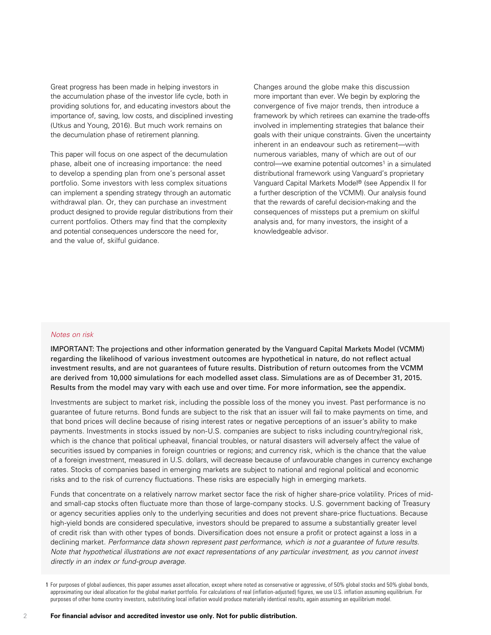Great progress has been made in helping investors in the accumulation phase of the investor life cycle, both in providing solutions for, and educating investors about the importance of, saving, low costs, and disciplined investing (Utkus and Young, 2016). But much work remains on the decumulation phase of retirement planning.

This paper will focus on one aspect of the decumulation phase, albeit one of increasing importance: the need to develop a spending plan from one's personal asset portfolio. Some investors with less complex situations can implement a spending strategy through an automatic withdrawal plan. Or, they can purchase an investment product designed to provide regular distributions from their current portfolios. Others may find that the complexity and potential consequences underscore the need for, and the value of, skilful guidance.

Changes around the globe make this discussion more important than ever. We begin by exploring the convergence of five major trends, then introduce a framework by which retirees can examine the trade-offs involved in implementing strategies that balance their goals with their unique constraints. Given the uncertainty inherent in an endeavour such as retirement—with numerous variables, many of which are out of our control—we examine potential outcomes<sup>1</sup> in a simulated distributional framework using Vanguard's proprietary Vanguard Capital Markets Model® (see Appendix II for a further description of the VCMM). Our analysis found that the rewards of careful decision-making and the consequences of missteps put a premium on skilful analysis and, for many investors, the insight of a knowledgeable advisor.

## *Notes on risk*

IMPORTANT: The projections and other information generated by the Vanguard Capital Markets Model (VCMM) regarding the likelihood of various investment outcomes are hypothetical in nature, do not reflect actual investment results, and are not guarantees of future results. Distribution of return outcomes from the VCMM are derived from 10,000 simulations for each modelled asset class. Simulations are as of December 31, 2015. Results from the model may vary with each use and over time. For more information, see the appendix.

Investments are subject to market risk, including the possible loss of the money you invest. Past performance is no guarantee of future returns. Bond funds are subject to the risk that an issuer will fail to make payments on time, and that bond prices will decline because of rising interest rates or negative perceptions of an issuer's ability to make payments. Investments in stocks issued by non-U.S. companies are subject to risks including country/regional risk, which is the chance that political upheaval, financial troubles, or natural disasters will adversely affect the value of securities issued by companies in foreign countries or regions; and currency risk, which is the chance that the value of a foreign investment, measured in U.S. dollars, will decrease because of unfavourable changes in currency exchange rates. Stocks of companies based in emerging markets are subject to national and regional political and economic risks and to the risk of currency fluctuations. These risks are especially high in emerging markets.

Funds that concentrate on a relatively narrow market sector face the risk of higher share-price volatility. Prices of midand small-cap stocks often fluctuate more than those of large-company stocks. U.S. government backing of Treasury or agency securities applies only to the underlying securities and does not prevent share-price fluctuations. Because high-yield bonds are considered speculative, investors should be prepared to assume a substantially greater level of credit risk than with other types of bonds. Diversification does not ensure a profit or protect against a loss in a declining market. *Performance data shown represent past performance, which is not a guarantee of future results. Note that hypothetical illustrations are not exact representations of any particular investment, as you cannot invest directly in an index or fund-group average.*

<sup>1</sup> For purposes of global audiences, this paper assumes asset allocation, except where noted as conservative or aggressive, of 50% global stocks and 50% global bonds, approximating our ideal allocation for the global market portfolio. For calculations of real (inflation-adjusted) figures, we use U.S. inflation assuming equilibrium. For purposes of other home country investors, substituting local inflation would produce materially identical results, again assuming an equilibrium model.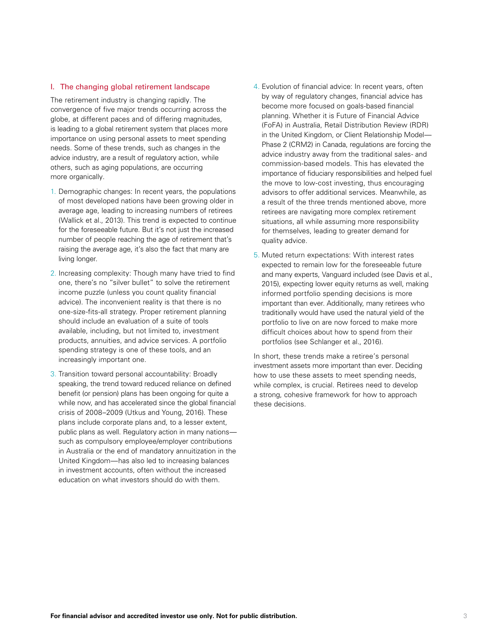#### I. The changing global retirement landscape

The retirement industry is changing rapidly. The convergence of five major trends occurring across the globe, at different paces and of differing magnitudes, is leading to a global retirement system that places more importance on using personal assets to meet spending needs. Some of these trends, such as changes in the advice industry, are a result of regulatory action, while others, such as aging populations, are occurring more organically.

- 1. Demographic changes: In recent years, the populations of most developed nations have been growing older in average age, leading to increasing numbers of retirees (Wallick et al., 2013). This trend is expected to continue for the foreseeable future. But it's not just the increased number of people reaching the age of retirement that's raising the average age, it's also the fact that many are living longer.
- 2. Increasing complexity: Though many have tried to find one, there's no "silver bullet" to solve the retirement income puzzle (unless you count quality financial advice). The inconvenient reality is that there is no one-size-fits-all strategy. Proper retirement planning should include an evaluation of a suite of tools available, including, but not limited to, investment products, annuities, and advice services. A portfolio spending strategy is one of these tools, and an increasingly important one.
- 3. Transition toward personal accountability: Broadly speaking, the trend toward reduced reliance on defined benefit (or pension) plans has been ongoing for quite a while now, and has accelerated since the global financial crisis of 2008–2009 (Utkus and Young, 2016). These plans include corporate plans and, to a lesser extent, public plans as well. Regulatory action in many nations such as compulsory employee/employer contributions in Australia or the end of mandatory annuitization in the United Kingdom—has also led to increasing balances in investment accounts, often without the increased education on what investors should do with them.
- 4. Evolution of financial advice: In recent years, often by way of regulatory changes, financial advice has become more focused on goals-based financial planning. Whether it is Future of Financial Advice (FoFA) in Australia, Retail Distribution Review (RDR) in the United Kingdom, or Client Relationship Model— Phase 2 (CRM2) in Canada, regulations are forcing the advice industry away from the traditional sales- and commission-based models. This has elevated the importance of fiduciary responsibilities and helped fuel the move to low-cost investing, thus encouraging advisors to offer additional services. Meanwhile, as a result of the three trends mentioned above, more retirees are navigating more complex retirement situations, all while assuming more responsibility for themselves, leading to greater demand for quality advice.
- 5. Muted return expectations: With interest rates expected to remain low for the foreseeable future and many experts, Vanguard included (see Davis et al., 2015), expecting lower equity returns as well, making informed portfolio spending decisions is more important than ever. Additionally, many retirees who traditionally would have used the natural yield of the portfolio to live on are now forced to make more difficult choices about how to spend from their portfolios (see Schlanger et al., 2016).

In short, these trends make a retiree's personal investment assets more important than ever. Deciding how to use these assets to meet spending needs, while complex, is crucial. Retirees need to develop a strong, cohesive framework for how to approach these decisions.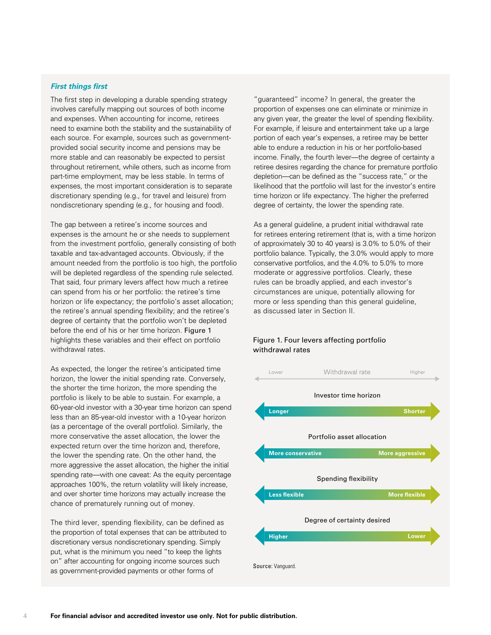#### *First things first*

The first step in developing a durable spending strategy involves carefully mapping out sources of both income and expenses. When accounting for income, retirees need to examine both the stability and the sustainability of each source. For example, sources such as governmentprovided social security income and pensions may be more stable and can reasonably be expected to persist throughout retirement, while others, such as income from part-time employment, may be less stable. In terms of expenses, the most important consideration is to separate discretionary spending (e.g., for travel and leisure) from nondiscretionary spending (e.g., for housing and food).

The gap between a retiree's income sources and expenses is the amount he or she needs to supplement from the investment portfolio, generally consisting of both taxable and tax-advantaged accounts. Obviously, if the amount needed from the portfolio is too high, the portfolio will be depleted regardless of the spending rule selected. That said, four primary levers affect how much a retiree can spend from his or her portfolio: the retiree's time horizon or life expectancy; the portfolio's asset allocation; the retiree's annual spending flexibility; and the retiree's degree of certainty that the portfolio won't be depleted before the end of his or her time horizon. Figure 1 highlights these variables and their effect on portfolio withdrawal rates.

As expected, the longer the retiree's anticipated time horizon, the lower the initial spending rate. Conversely, the shorter the time horizon, the more spending the portfolio is likely to be able to sustain. For example, a 60-year-old investor with a 30-year time horizon can spend less than an 85-year-old investor with a 10-year horizon (as a percentage of the overall portfolio). Similarly, the more conservative the asset allocation, the lower the expected return over the time horizon and, therefore, the lower the spending rate. On the other hand, the more aggressive the asset allocation, the higher the initial spending rate—with one caveat: As the equity percentage approaches 100%, the return volatility will likely increase, and over shorter time horizons may actually increase the chance of prematurely running out of money.

The third lever, spending flexibility, can be defined as the proportion of total expenses that can be attributed to discretionary versus nondiscretionary spending. Simply put, what is the minimum you need "to keep the lights on" after accounting for ongoing income sources such as government-provided payments or other forms of

"guaranteed" income? In general, the greater the proportion of expenses one can eliminate or minimize in any given year, the greater the level of spending flexibility. For example, if leisure and entertainment take up a large portion of each year's expenses, a retiree may be better able to endure a reduction in his or her portfolio-based income. Finally, the fourth lever—the degree of certainty a retiree desires regarding the chance for premature portfolio depletion—can be defined as the "success rate," or the likelihood that the portfolio will last for the investor's entire time horizon or life expectancy. The higher the preferred degree of certainty, the lower the spending rate.

As a general guideline, a prudent initial withdrawal rate for retirees entering retirement (that is, with a time horizon of approximately 30 to 40 years) is 3.0% to 5.0% of their portfolio balance. Typically, the 3.0% would apply to more conservative portfolios, and the 4.0% to 5.0% to more moderate or aggressive portfolios. Clearly, these rules can be broadly applied, and each investor's circumstances are unique, potentially allowing for more or less spending than this general guideline, as discussed later in Section II.



#### Figure 1. Four levers affecting portfolio withdrawal rates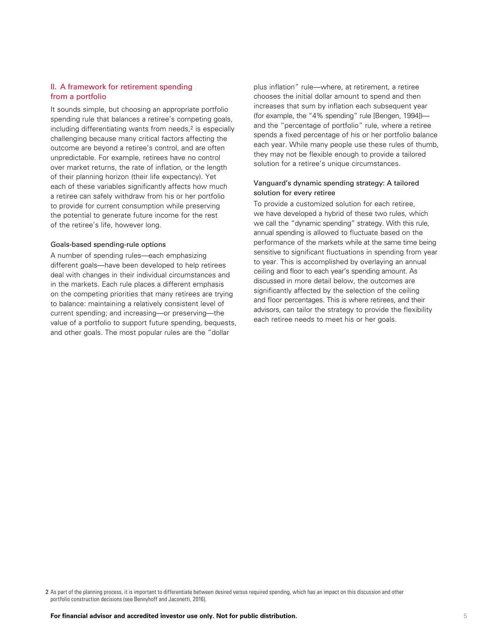### II. A framework for retirement spending from a portfolio

It sounds simple, but choosing an appropriate portfolio spending rule that balances a retiree's competing goals, including differentiating wants from needs,<sup>2</sup> is especially challenging because many critical factors affecting the outcome are beyond a retiree's control, and are often unpredictable. For example, retirees have no control over market returns, the rate of inflation, or the length of their planning horizon (their life expectancy). Yet each of these variables significantly affects how much a retiree can safely withdraw from his or her portfolio to provide for current consumption while preserving the potential to generate future income for the rest of the retiree's life, however long.

#### Goals-based spending-rule options

A number of spending rules—each emphasizing different goals—have been developed to help retirees deal with changes in their individual circumstances and in the markets. Each rule places a different emphasis on the competing priorities that many retirees are trying to balance: maintaining a relatively consistent level of current spending; and increasing—or preserving—the value of a portfolio to support future spending, bequests, and other goals. The most popular rules are the "dollar

plus inflation" rule—where, at retirement, a retiree chooses the initial dollar amount to spend and then increases that sum by inflation each subsequent year (for example, the "4% spending" rule [Bengen, 1994]) and the "percentage of portfolio" rule, where a retiree spends a fixed percentage of his or her portfolio balance each year. While many people use these rules of thumb, they may not be flexible enough to provide a tailored solution for a retiree's unique circumstances.

#### Vanguard's dynamic spending strategy: A tailored solution for every retiree

To provide a customized solution for each retiree, we have developed a hybrid of these two rules, which we call the "dynamic spending" strategy. With this rule, annual spending is allowed to fluctuate based on the performance of the markets while at the same time being sensitive to significant fluctuations in spending from year to year. This is accomplished by overlaying an annual ceiling and floor to each year's spending amount. As discussed in more detail below, the outcomes are significantly affected by the selection of the ceiling and floor percentages. This is where retirees, and their advisors, can tailor the strategy to provide the flexibility each retiree needs to meet his or her goals.

2 As part of the planning process, it is important to differentiate between desired versus required spending, which has an impact on this discussion and other portfolio construction decisions (see Bennyhoff and Jaconetti, 2016).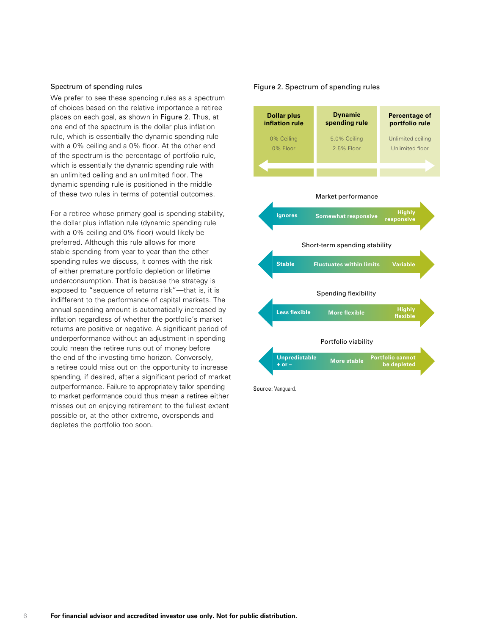#### Spectrum of spending rules

We prefer to see these spending rules as a spectrum of choices based on the relative importance a retiree places on each goal, as shown in Figure 2. Thus, at one end of the spectrum is the dollar plus inflation rule, which is essentially the dynamic spending rule with a 0% ceiling and a 0% floor. At the other end of the spectrum is the percentage of portfolio rule, which is essentially the dynamic spending rule with an unlimited ceiling and an unlimited floor. The dynamic spending rule is positioned in the middle of these two rules in terms of potential outcomes.

For a retiree whose primary goal is spending stability, the dollar plus inflation rule (dynamic spending rule with a 0% ceiling and 0% floor) would likely be preferred. Although this rule allows for more stable spending from year to year than the other spending rules we discuss, it comes with the risk of either premature portfolio depletion or lifetime underconsumption. That is because the strategy is exposed to "sequence of returns risk"—that is, it is indifferent to the performance of capital markets. The annual spending amount is automatically increased by inflation regardless of whether the portfolio's market returns are positive or negative. A significant period of underperformance without an adjustment in spending could mean the retiree runs out of money before the end of the investing time horizon. Conversely, a retiree could miss out on the opportunity to increase spending, if desired, after a significant period of market outperformance. Failure to appropriately tailor spending to market performance could thus mean a retiree either misses out on enjoying retirement to the fullest extent possible or, at the other extreme, overspends and depletes the portfolio too soon.

#### Figure 2. Spectrum of spending rules

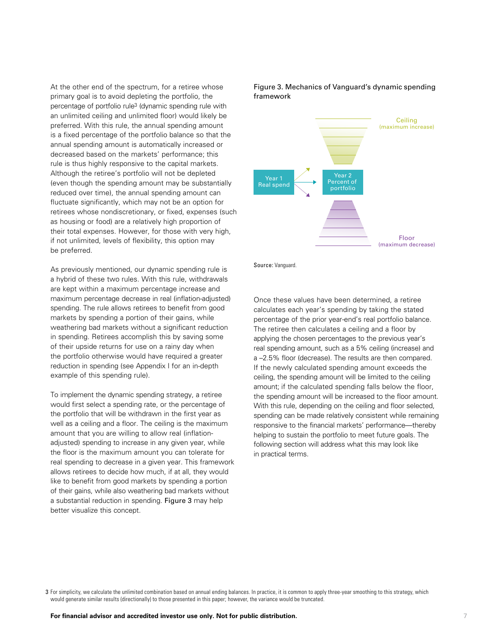At the other end of the spectrum, for a retiree whose primary goal is to avoid depleting the portfolio, the percentage of portfolio rule3 (dynamic spending rule with an unlimited ceiling and unlimited floor) would likely be preferred. With this rule, the annual spending amount is a fixed percentage of the portfolio balance so that the annual spending amount is automatically increased or decreased based on the markets' performance; this rule is thus highly responsive to the capital markets. Although the retiree's portfolio will not be depleted (even though the spending amount may be substantially reduced over time), the annual spending amount can fluctuate significantly, which may not be an option for retirees whose nondiscretionary, or fixed, expenses (such as housing or food) are a relatively high proportion of their total expenses. However, for those with very high, if not unlimited, levels of flexibility, this option may be preferred.

As previously mentioned, our dynamic spending rule is a hybrid of these two rules. With this rule, withdrawals are kept within a maximum percentage increase and maximum percentage decrease in real (inflation-adjusted) spending. The rule allows retirees to benefit from good markets by spending a portion of their gains, while weathering bad markets without a significant reduction in spending. Retirees accomplish this by saving some of their upside returns for use on a rainy day when the portfolio otherwise would have required a greater reduction in spending (see Appendix I for an in-depth example of this spending rule).

To implement the dynamic spending strategy, a retiree would first select a spending rate, or the percentage of the portfolio that will be withdrawn in the first year as well as a ceiling and a floor. The ceiling is the maximum amount that you are willing to allow real (inflationadjusted) spending to increase in any given year, while the floor is the maximum amount you can tolerate for real spending to decrease in a given year. This framework allows retirees to decide how much, if at all, they would like to benefit from good markets by spending a portion of their gains, while also weathering bad markets without a substantial reduction in spending. Figure 3 may help better visualize this concept.

Figure 3. Mechanics of Vanguard's dynamic spending framework



Source: Vanguard.

Once these values have been determined, a retiree calculates each year's spending by taking the stated percentage of the prior year-end's real portfolio balance. The retiree then calculates a ceiling and a floor by applying the chosen percentages to the previous year's real spending amount, such as a 5% ceiling (increase) and a –2.5% floor (decrease). The results are then compared. If the newly calculated spending amount exceeds the ceiling, the spending amount will be limited to the ceiling amount; if the calculated spending falls below the floor, the spending amount will be increased to the floor amount. With this rule, depending on the ceiling and floor selected, spending can be made relatively consistent while remaining responsive to the financial markets' performance—thereby helping to sustain the portfolio to meet future goals. The following section will address what this may look like in practical terms.

3 For simplicity, we calculate the unlimited combination based on annual ending balances. In practice, it is common to apply three-year smoothing to this strategy, which would generate similar results (directionally) to those presented in this paper; however, the variance would be truncated.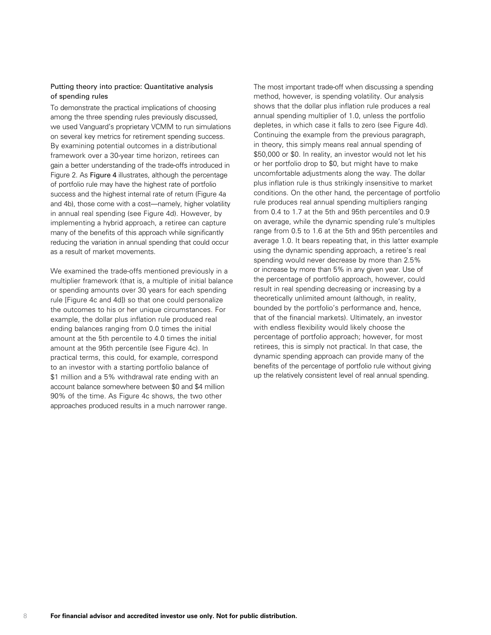#### Putting theory into practice: Quantitative analysis of spending rules

To demonstrate the practical implications of choosing among the three spending rules previously discussed, we used Vanguard's proprietary VCMM to run simulations on several key metrics for retirement spending success. By examining potential outcomes in a distributional framework over a 30-year time horizon, retirees can gain a better understanding of the trade-offs introduced in Figure 2. As Figure 4 illustrates, although the percentage of portfolio rule may have the highest rate of portfolio success and the highest internal rate of return (Figure 4a and 4b), those come with a cost—namely, higher volatility in annual real spending (see Figure 4d). However, by implementing a hybrid approach, a retiree can capture many of the benefits of this approach while significantly reducing the variation in annual spending that could occur as a result of market movements.

We examined the trade-offs mentioned previously in a multiplier framework (that is, a multiple of initial balance or spending amounts over 30 years for each spending rule [Figure 4c and 4d]) so that one could personalize the outcomes to his or her unique circumstances. For example, the dollar plus inflation rule produced real ending balances ranging from 0.0 times the initial amount at the 5th percentile to 4.0 times the initial amount at the 95th percentile (see Figure 4c). In practical terms, this could, for example, correspond to an investor with a starting portfolio balance of \$1 million and a 5% withdrawal rate ending with an account balance somewhere between \$0 and \$4 million 90% of the time. As Figure 4c shows, the two other approaches produced results in a much narrower range.

The most important trade-off when discussing a spending method, however, is spending volatility. Our analysis shows that the dollar plus inflation rule produces a real annual spending multiplier of 1.0, unless the portfolio depletes, in which case it falls to zero (see Figure 4d). Continuing the example from the previous paragraph, in theory, this simply means real annual spending of \$50,000 or \$0. In reality, an investor would not let his or her portfolio drop to \$0, but might have to make uncomfortable adjustments along the way. The dollar plus inflation rule is thus strikingly insensitive to market conditions. On the other hand, the percentage of portfolio rule produces real annual spending multipliers ranging from 0.4 to 1.7 at the 5th and 95th percentiles and 0.9 on average, while the dynamic spending rule's multiples range from 0.5 to 1.6 at the 5th and 95th percentiles and average 1.0. It bears repeating that, in this latter example using the dynamic spending approach, a retiree's real spending would never decrease by more than 2.5% or increase by more than 5% in any given year. Use of the percentage of portfolio approach, however, could result in real spending decreasing or increasing by a theoretically unlimited amount (although, in reality, bounded by the portfolio's performance and, hence, that of the financial markets). Ultimately, an investor with endless flexibility would likely choose the percentage of portfolio approach; however, for most retirees, this is simply not practical. In that case, the dynamic spending approach can provide many of the benefits of the percentage of portfolio rule without giving up the relatively consistent level of real annual spending.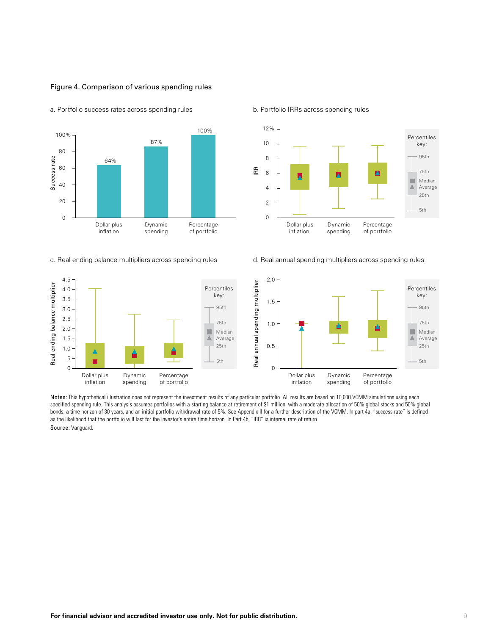



a. Portfolio success rates across spending rules b. Portfolio IRRs across spending rules



c. Real ending balance multipliers across spending rules d. Real annual spending multipliers across spending rules



Notes: This hypothetical illustration does not represent the investment results of any particular portfolio. All results are based on 10,000 VCMM simulations using each specified spending rule. This analysis assumes portfolios with a starting balance at retirement of \$1 million, with a moderate allocation of 50% global stocks and 50% global bonds, a time horizon of 30 years, and an initial portfolio withdrawal rate of 5%. See Appendix II for a further description of the VCMM. In part 4a, "success rate" is defined as the likelihood that the portfolio will last for the investor's entire time horizon. In Part 4b, "IRR" is internal rate of return.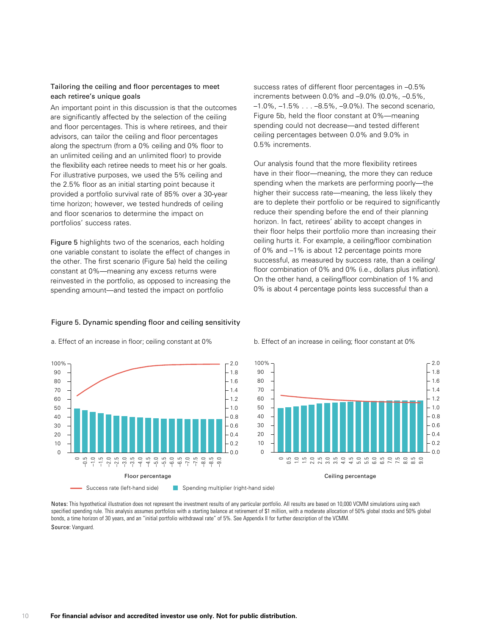#### Tailoring the ceiling and floor percentages to meet each retiree's unique goals

An important point in this discussion is that the outcomes are significantly affected by the selection of the ceiling and floor percentages. This is where retirees, and their advisors, can tailor the ceiling and floor percentages along the spectrum (from a 0% ceiling and 0% floor to an unlimited ceiling and an unlimited floor) to provide the flexibility each retiree needs to meet his or her goals. For illustrative purposes, we used the 5% ceiling and the 2.5% floor as an initial starting point because it provided a portfolio survival rate of 85% over a 30-year time horizon; however, we tested hundreds of ceiling and floor scenarios to determine the impact on portfolios' success rates.

Figure 5 highlights two of the scenarios, each holding one variable constant to isolate the effect of changes in the other. The first scenario (Figure 5a) held the ceiling constant at 0%—meaning any excess returns were reinvested in the portfolio, as opposed to increasing the spending amount—and tested the impact on portfolio

Figure 5. Dynamic spending floor and ceiling sensitivity

success rates of different floor percentages in –0.5% increments between 0.0% and –9.0% (0.0%, –0.5%, –1.0%, –1.5% . . . –8.5%, –9.0%). The second scenario, Figure 5b, held the floor constant at 0%—meaning spending could not decrease—and tested different ceiling percentages between 0.0% and 9.0% in 0.5% increments.

Our analysis found that the more flexibility retirees have in their floor—meaning, the more they can reduce spending when the markets are performing poorly—the higher their success rate—meaning, the less likely they are to deplete their portfolio or be required to significantly reduce their spending before the end of their planning horizon. In fact, retirees' ability to accept changes in their floor helps their portfolio more than increasing their ceiling hurts it. For example, a ceiling/floor combination of 0% and –1% is about 12 percentage points more successful, as measured by success rate, than a ceiling/ floor combination of 0% and 0% (i.e., dollars plus inflation). On the other hand, a ceiling/floor combination of 1% and 0% is about 4 percentage points less successful than a

#### Floor percentage ء<br>–  $-1.0$ – 7.5 – 7.0 – 7.0 – 7.0 – 7.0 – 7.0 – 7.0 – 7.0 – 7.0 – 7.0 – 7.0 – 7.0 – 7.0 – 7.0 – 7.0 – 7.0 – 7.0 – 7.0 – <br>– 7.0 – 7.0 – 7.0 – 7.0 – 7.0 – 7.0 – 7.0 – 7.0 – 7.0 – 7.0 – 7.0 – 7.0 – 7.0 – 7.0 – 7.0 – 7.0 – 7.0 – 7.0 – 0.0 0.2 0.4 0.6 0.8 1.0 1.2 1.4 1.6 1.8 2.0  $\Omega$ 10 20 30 40 50 60 70 80 90 100% Success rate (left-hand side) Spending multiplier (right-hand side)

#### a. Effect of an increase in floor; ceiling constant at 0% b. Effect of an increase in ceiling; floor constant at 0%



Notes: This hypothetical illustration does not represent the investment results of any particular portfolio. All results are based on 10,000 VCMM simulations using each specified spending rule. This analysis assumes portfolios with a starting balance at retirement of \$1 million, with a moderate allocation of 50% global stocks and 50% global bonds, a time horizon of 30 years, and an "initial portfolio withdrawal rate" of 5%. See Appendix II for further description of the VCMM.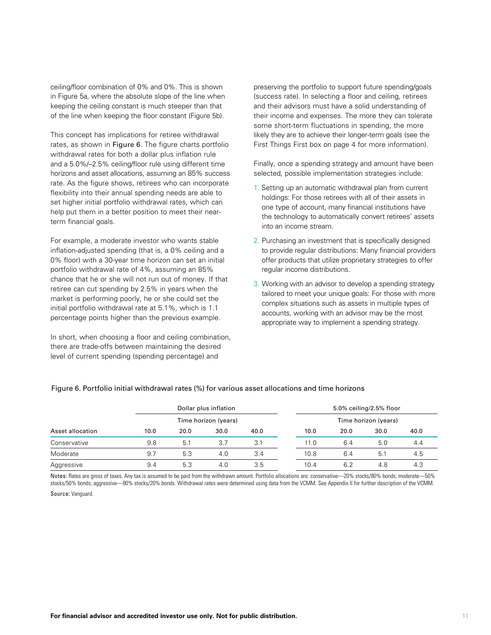ceiling/floor combination of 0% and 0%. This is shown in Figure 5a, where the absolute slope of the line when keeping the ceiling constant is much steeper than that of the line when keeping the floor constant (Figure 5b).

This concept has implications for retiree withdrawal rates, as shown in Figure 6. The figure charts portfolio withdrawal rates for both a dollar plus inflation rule and a 5.0%/–2.5% ceiling/floor rule using different time horizons and asset allocations, assuming an 85% success rate. As the figure shows, retirees who can incorporate flexibility into their annual spending needs are able to set higher initial portfolio withdrawal rates, which can help put them in a better position to meet their nearterm financial goals.

For example, a moderate investor who wants stable inflation-adjusted spending (that is, a 0% ceiling and a 0% floor) with a 30-year time horizon can set an initial portfolio withdrawal rate of 4%, assuming an 85% chance that he or she will not run out of money. If that retiree can cut spending by 2.5% in years when the market is performing poorly, he or she could set the initial portfolio withdrawal rate at 5.1%, which is 1.1 percentage points higher than the previous example.

In short, when choosing a floor and ceiling combination, there are trade-offs between maintaining the desired level of current spending (spending percentage) and

preserving the portfolio to support future spending/goals (success rate). In selecting a floor and ceiling, retirees and their advisors must have a solid understanding of their income and expenses. The more they can tolerate some short-term fluctuations in spending, the more likely they are to achieve their longer-term goals (see the First Things First box on page 4 for more information).

Finally, once a spending strategy and amount have been selected, possible implementation strategies include:

- 1. Setting up an automatic withdrawal plan from current holdings: For those retirees with all of their assets in one type of account, many financial institutions have the technology to automatically convert retirees' assets into an income stream.
- 2. Purchasing an investment that is specifically designed to provide regular distributions: Many financial providers offer products that utilize proprietary strategies to offer regular income distributions.
- 3. Working with an advisor to develop a spending strategy tailored to meet your unique goals: For those with more complex situations such as assets in multiple types of accounts, working with an advisor may be the most appropriate way to implement a spending strategy.

| Asset allocation | Dollar plus inflation<br>Time horizon (years) |      |      |      | 5.0% ceiling/2.5% floor |      |      |      |  |
|------------------|-----------------------------------------------|------|------|------|-------------------------|------|------|------|--|
|                  |                                               |      |      |      | Time horizon (years)    |      |      |      |  |
|                  | 10.0                                          | 20.0 | 30.0 | 40.0 | 10.0                    | 20.0 | 30.0 | 40.0 |  |
| Conservative     | 9.8                                           | 5.1  | 3.7  | 3.1  | 11.0                    | 6.4  | 5.0  | 4.4  |  |
| Moderate         | 9.7                                           | 5.3  | 4.0  | 3.4  | 10.8                    | 6.4  | 5.1  | 4.5  |  |
| Aggressive       | 9.4                                           | 5.3  | 4.0  | 3.5  | 10.4                    | 6.2  | 4.8  | 4.3  |  |

#### Figure 6. Portfolio initial withdrawal rates (%) for various asset allocations and time horizons

Notes: Rates are gross of taxes. Any tax is assumed to be paid from the withdrawn amount. Portfolio allocations are: conservative—20% stocks/80% bonds; moderate—50% stocks/50% bonds; aggressive—80% stocks/20% bonds. Withdrawal rates were determined using data from the VCMM. See Appendix II for further description of the VCMM.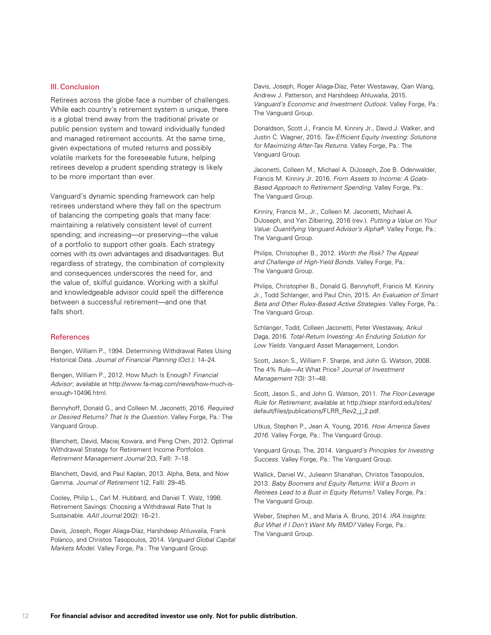#### III. Conclusion

Retirees across the globe face a number of challenges. While each country's retirement system is unique, there is a global trend away from the traditional private or public pension system and toward individually funded and managed retirement accounts. At the same time, given expectations of muted returns and possibly volatile markets for the foreseeable future, helping retirees develop a prudent spending strategy is likely to be more important than ever.

Vanguard's dynamic spending framework can help retirees understand where they fall on the spectrum of balancing the competing goals that many face: maintaining a relatively consistent level of current spending; and increasing—or preserving—the value of a portfolio to support other goals. Each strategy comes with its own advantages and disadvantages. But regardless of strategy, the combination of complexity and consequences underscores the need for, and the value of, skilful guidance. Working with a skilful and knowledgeable advisor could spell the difference between a successful retirement—and one that falls short.

#### **References**

Bengen, William P., 1994. Determining Withdrawal Rates Using Historical Data. *Journal of Financial Planning* (Oct.): 14–24.

Bengen, William P., 2012. How Much Is Enough? *Financial Advisor*; available at http://www.fa-mag.com/news/how-much-isenough-10496.html.

Bennyhoff, Donald G., and Colleen M. Jaconetti, 2016. *Required or Desired Returns? That Is the Question.* Valley Forge, Pa.: The Vanguard Group.

Blanchett, David, Maciej Kowara, and Peng Chen, 2012. Optimal Withdrawal Strategy for Retirement Income Portfolios. *Retirement Management Journal* 2(3, Fall): 7–18.

Blanchett, David, and Paul Kaplan, 2013. Alpha, Beta, and Now Gamma. *Journal of Retirement* 1(2, Fall): 29–45.

Cooley, Philip L., Carl M. Hubbard, and Daniel T. Walz, 1998. Retirement Savings: Choosing a Withdrawal Rate That Is Sustainable. *AAII Journal* 20(2): 16–21.

Davis, Joseph, Roger Aliaga-Díaz, Harshdeep Ahluwalia, Frank Polanco, and Christos Tasopoulos, 2014. *Vanguard Global Capital Markets Model.* Valley Forge, Pa.: The Vanguard Group.

Davis, Joseph, Roger Aliaga-Díaz, Peter Westaway, Qian Wang, Andrew J. Patterson, and Harshdeep Ahluwalia, 2015. *Vanguard's Economic and Investment Outlook*. Valley Forge, Pa.: The Vanguard Group.

Donaldson, Scott J., Francis M. Kinniry Jr., David J. Walker, and Justin C. Wagner, 2015. *Tax-Efficient Equity Investing: Solutions for Maximizing After-Tax Returns.* Valley Forge, Pa.: The Vanguard Group.

Jaconetti, Colleen M., Michael A. DiJoseph, Zoe B. Odenwalder, Francis M. Kinniry Jr. 2016. *From Assets to Income: A Goals-Based Approach to Retirement Spending.* Valley Forge, Pa.: The Vanguard Group.

Kinniry, Francis M., Jr., Colleen M. Jaconetti, Michael A. DiJoseph, and Yan Zilbering, 2016 (rev.). *Putting a Value on Your Value: Quantifying Vanguard Advisor's Alpha®.* Valley Forge, Pa.: The Vanguard Group.

Philips, Christopher B., 2012. *Worth the Risk? The Appeal and Challenge of High-Yield Bonds.* Valley Forge, Pa.: The Vanguard Group.

Philips, Christopher B., Donald G. Bennyhoff, Francis M. Kinniry Jr., Todd Schlanger, and Paul Chin, 2015. *An Evaluation of Smart Beta and Other Rules-Based Active Strategies.* Valley Forge, Pa.: The Vanguard Group.

Schlanger, Todd, Colleen Jaconetti, Peter Westaway, Ankul Daga, 2016. *Total-Return Investing: An Enduring Solution for Low Yields.* Vanguard Asset Management, London.

Scott, Jason S., William F. Sharpe, and John G. Watson, 2008. The 4% Rule—At What Price? *Journal of Investment Management* 7(3): 31–48.

Scott, Jason S., and John G. Watson, 2011. *The Floor-Leverage Rule for Retirement*; available at http://siepr.stanford.edu/sites/ default/files/publications/FLRR\_Rev2\_j\_2.pdf.

Utkus, Stephen P., Jean A. Young, 2016. *How America Saves 2016.* Valley Forge, Pa.: The Vanguard Group.

Vanguard Group, The, 2014. *Vanguard's Principles for Investing Success.* Valley Forge, Pa.: The Vanguard Group.

Wallick, Daniel W., Julieann Shanahan, Christos Tasopoulos, 2013. *Baby Boomers and Equity Returns: Will a Boom in Retirees Lead to a Bust in Equity Returns?*. Valley Forge, Pa.: The Vanguard Group.

Weber, Stephen M., and Maria A. Bruno, 2014. *IRA Insights: But What if I Don't Want My RMD?* Valley Forge, Pa.: The Vanguard Group.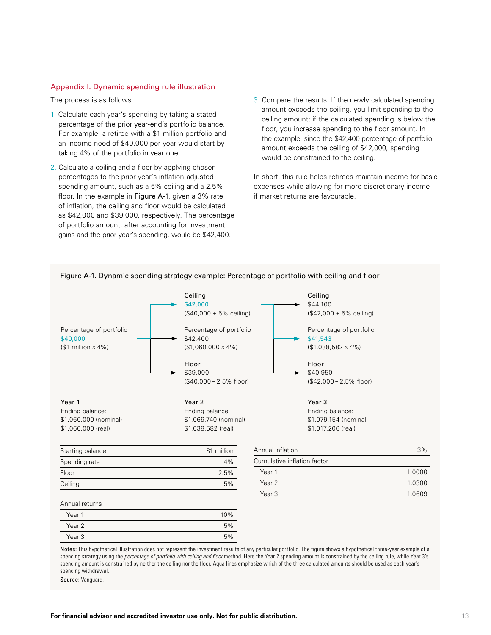#### Appendix I. Dynamic spending rule illustration

The process is as follows:

- 1. Calculate each year's spending by taking a stated percentage of the prior year-end's portfolio balance. For example, a retiree with a \$1 million portfolio and an income need of \$40,000 per year would start by taking 4% of the portfolio in year one.
- 2. Calculate a ceiling and a floor by applying chosen percentages to the prior year's inflation-adjusted spending amount, such as a 5% ceiling and a 2.5% floor. In the example in Figure A-1, given a 3% rate of inflation, the ceiling and floor would be calculated as \$42,000 and \$39,000, respectively. The percentage of portfolio amount, after accounting for investment gains and the prior year's spending, would be \$42,400.
- 3. Compare the results. If the newly calculated spending amount exceeds the ceiling, you limit spending to the ceiling amount; if the calculated spending is below the floor, you increase spending to the floor amount. In the example, since the \$42,400 percentage of portfolio amount exceeds the ceiling of \$42,000, spending would be constrained to the ceiling.

In short, this rule helps retirees maintain income for basic expenses while allowing for more discretionary income if market returns are favourable.



#### Figure A-1. Dynamic spending strategy example: Percentage of portfolio with ceiling and floor

Notes: This hypothetical illustration does not represent the investment results of any particular portfolio. The figure shows a hypothetical three-year example of a spending strategy using the *percentage of portfolio with ceiling and floor* method. Here the Year 2 spending amount is constrained by the ceiling rule, while Year 3's spending amount is constrained by neither the ceiling nor the floor. Aqua lines emphasize which of the three calculated amounts should be used as each year's spending withdrawal.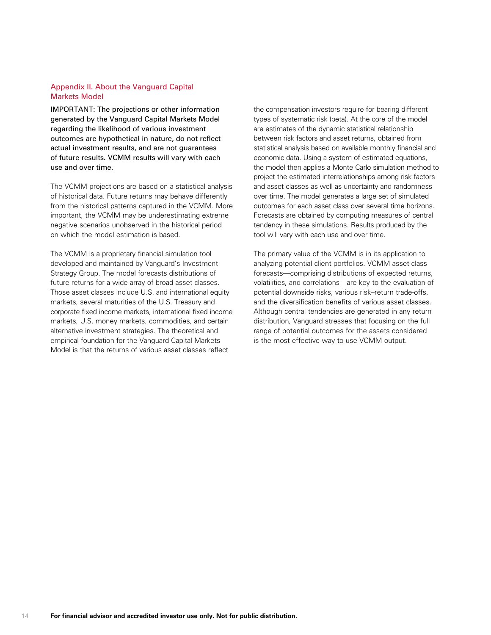### Appendix II. About the Vanguard Capital Markets Model

IMPORTANT: The projections or other information generated by the Vanguard Capital Markets Model regarding the likelihood of various investment outcomes are hypothetical in nature, do not reflect actual investment results, and are not guarantees of future results. VCMM results will vary with each use and over time.

The VCMM projections are based on a statistical analysis of historical data. Future returns may behave differently from the historical patterns captured in the VCMM. More important, the VCMM may be underestimating extreme negative scenarios unobserved in the historical period on which the model estimation is based.

The VCMM is a proprietary financial simulation tool developed and maintained by Vanguard's Investment Strategy Group. The model forecasts distributions of future returns for a wide array of broad asset classes. Those asset classes include U.S. and international equity markets, several maturities of the U.S. Treasury and corporate fixed income markets, international fixed income markets, U.S. money markets, commodities, and certain alternative investment strategies. The theoretical and empirical foundation for the Vanguard Capital Markets Model is that the returns of various asset classes reflect

the compensation investors require for bearing different types of systematic risk (beta). At the core of the model are estimates of the dynamic statistical relationship between risk factors and asset returns, obtained from statistical analysis based on available monthly financial and economic data. Using a system of estimated equations, the model then applies a Monte Carlo simulation method to project the estimated interrelationships among risk factors and asset classes as well as uncertainty and randomness over time. The model generates a large set of simulated outcomes for each asset class over several time horizons. Forecasts are obtained by computing measures of central tendency in these simulations. Results produced by the tool will vary with each use and over time.

The primary value of the VCMM is in its application to analyzing potential client portfolios. VCMM asset-class forecasts—comprising distributions of expected returns, volatilities, and correlations—are key to the evaluation of potential downside risks, various risk–return trade-offs, and the diversification benefits of various asset classes. Although central tendencies are generated in any return distribution, Vanguard stresses that focusing on the full range of potential outcomes for the assets considered is the most effective way to use VCMM output.